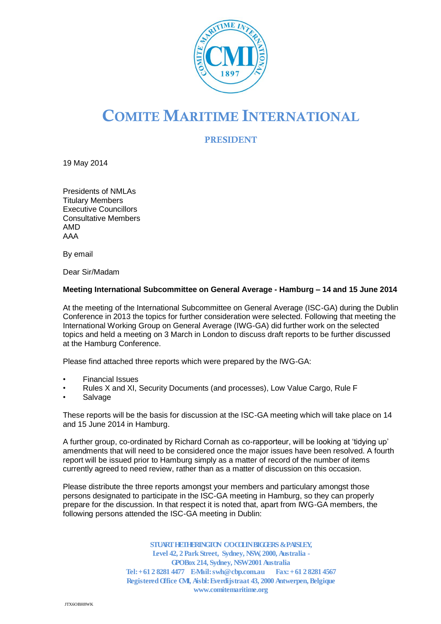

# **COMITE MARITIME INTERNATIONAL**

**PRESIDENT**

19 May 2014

Presidents of NMLAs Titulary Members Executive Councillors Consultative Members AMD AAA

By email

Dear Sir/Madam

#### **Meeting International Subcommittee on General Average - Hamburg – 14 and 15 June 2014**

At the meeting of the International Subcommittee on General Average (ISC-GA) during the Dublin Conference in 2013 the topics for further consideration were selected. Following that meeting the International Working Group on General Average (IWG-GA) did further work on the selected topics and held a meeting on 3 March in London to discuss draft reports to be further discussed at the Hamburg Conference.

Please find attached three reports which were prepared by the IWG-GA:

- Financial Issues
- Rules X and XI, Security Documents (and processes), Low Value Cargo, Rule F
- **Salvage**

These reports will be the basis for discussion at the ISC-GA meeting which will take place on 14 and 15 June 2014 in Hamburg.

A further group, co-ordinated by Richard Cornah as co-rapporteur, will be looking at 'tidying up' amendments that will need to be considered once the major issues have been resolved. A fourth report will be issued prior to Hamburg simply as a matter of record of the number of items currently agreed to need review, rather than as a matter of discussion on this occasion.

Please distribute the three reports amongst your members and particulary amongst those persons designated to participate in the ISC-GA meeting in Hamburg, so they can properly prepare for the discussion. In that respect it is noted that, apart from IWG-GA members, the following persons attended the ISC-GA meeting in Dublin:

> **STUART HETHERINGTON C/O COLIN BIGGERS & PAISLEY, Level 42, 2 Park Street, Sydney, NSW, 2000, Australia - GPOBox 214, Sydney, NSW2001 Australia Tel: +61 2 8281 4477 E-Mail: swh@cbp.com.au Fax: +61 2 8281 4567 Registered Office CMI, Aisbl: Everdijstraat 43, 2000 Antwerpen, Belgique www.comitemaritime.org**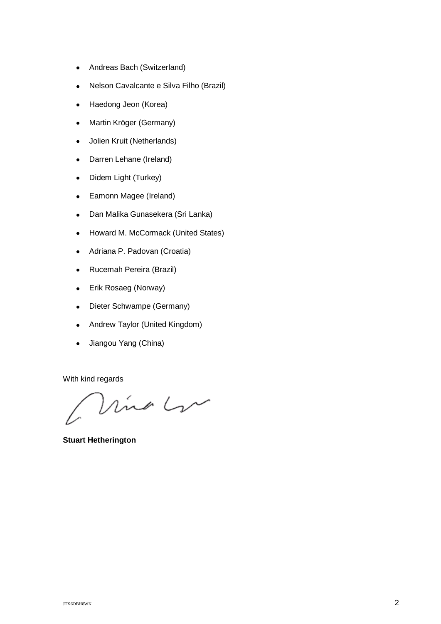- Andreas Bach (Switzerland)  $\bullet$
- Nelson Cavalcante e Silva Filho (Brazil)  $\bullet$
- Haedong Jeon (Korea)  $\bullet$
- Martin Kröger (Germany)  $\bullet$
- Jolien Kruit (Netherlands)  $\bullet$
- Darren Lehane (Ireland)  $\bullet$
- Didem Light (Turkey)  $\bullet$
- Eamonn Magee (Ireland)  $\bullet$
- $\bullet$ Dan Malika Gunasekera (Sri Lanka)
- Howard M. McCormack (United States)
- Adriana P. Padovan (Croatia)  $\bullet$
- Rucemah Pereira (Brazil)  $\bullet$
- Erik Rosaeg (Norway)  $\bullet$
- Dieter Schwampe (Germany)  $\bullet$
- Andrew Taylor (United Kingdom)  $\bullet$
- Jiangou Yang (China)  $\bullet$

With kind regards

Vino Lu

**Stuart Hetherington**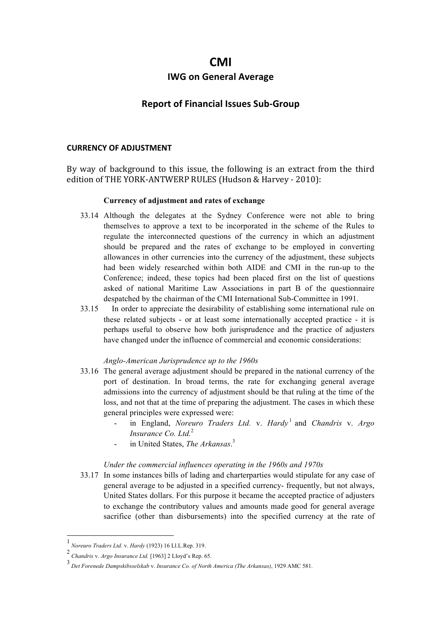# **CMI**

## **IWG on General Average**

# **Report of Financial Issues Sub-Group**

#### **CURRENCY OF ADJUSTMENT**

By way of background to this issue, the following is an extract from the third edition of THE YORK-ANTWERP RULES (Hudson & Harvey - 2010):

#### **Currency of adjustment and rates of exchange**

- 33.14 Although the delegates at the Sydney Conference were not able to bring themselves to approve a text to be incorporated in the scheme of the Rules to regulate the interconnected questions of the currency in which an adjustment should be prepared and the rates of exchange to be employed in converting allowances in other currencies into the currency of the adjustment, these subjects had been widely researched within both AIDE and CMI in the run-up to the Conference; indeed, these topics had been placed first on the list of questions asked of national Maritime Law Associations in part B of the questionnaire despatched by the chairman of the CMI International Sub-Committee in 1991.
- 33.15 In order to appreciate the desirability of establishing some international rule on these related subjects - or at least some internationally accepted practice - it is perhaps useful to observe how both jurisprudence and the practice of adjusters have changed under the influence of commercial and economic considerations:

#### *Anglo-American Jurisprudence up to the 1960s*

- 33.16 The general average adjustment should be prepared in the national currency of the port of destination. In broad terms, the rate for exchanging general average admissions into the currency of adjustment should be that ruling at the time of the loss, and not that at the time of preparing the adjustment. The cases in which these general principles were expressed were:
	- in England, *Noreuro Traders Ltd.* v. *Hardy* <sup>1</sup> and *Chandris* v. *Argo Insurance Co. Ltd.*<sup>2</sup>
	- in United States, *The Arkansas*. 3

#### *Under the commercial influences operating in the 1960s and 1970s*

33.17 In some instances bills of lading and charterparties would stipulate for any case of general average to be adjusted in a specified currency- frequently, but not always, United States dollars. For this purpose it became the accepted practice of adjusters to exchange the contributory values and amounts made good for general average sacrifice (other than disbursements) into the specified currency at the rate of

 <sup>1</sup> *Noreuro Traders Ltd.* v. *Hardy* (1923) 16 Ll.L.Rep. 319.

<sup>2</sup> *Chandris* v. *Argo Insurance Ltd.* [1963] 2 Lloyd's Rep. 65.

<sup>3</sup> *Det Forenede Dampskibsselskab* v. *Insurance Co. of North America (The Arkansas)*, 1929 AMC 581.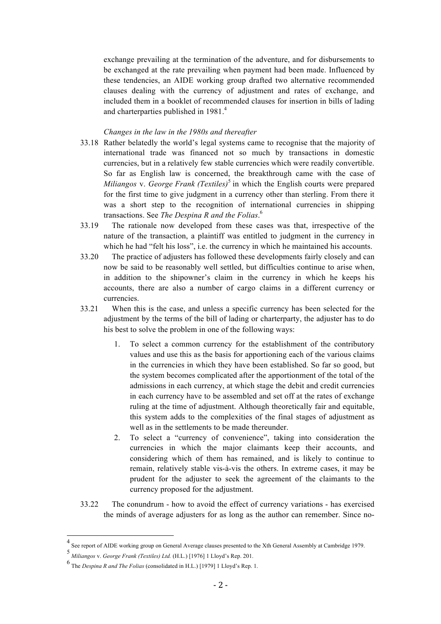exchange prevailing at the termination of the adventure, and for disbursements to be exchanged at the rate prevailing when payment had been made. Influenced by these tendencies, an AIDE working group drafted two alternative recommended clauses dealing with the currency of adjustment and rates of exchange, and included them in a booklet of recommended clauses for insertion in bills of lading and charterparties published in  $1981<sup>4</sup>$ 

#### *Changes in the law in the 1980s and thereafter*

- 33.18 Rather belatedly the world's legal systems came to recognise that the majority of international trade was financed not so much by transactions in domestic currencies, but in a relatively few stable currencies which were readily convertible. So far as English law is concerned, the breakthrough came with the case of *Miliangos* v. *George Frank (Textiles)*<sup>5</sup> in which the English courts were prepared for the first time to give judgment in a currency other than sterling. From there it was a short step to the recognition of international currencies in shipping transactions. See *The Despina R and the Folias*. 6
- 33.19 The rationale now developed from these cases was that, irrespective of the nature of the transaction, a plaintiff was entitled to judgment in the currency in which he had "felt his loss", i.e. the currency in which he maintained his accounts.
- 33.20 The practice of adjusters has followed these developments fairly closely and can now be said to be reasonably well settled, but difficulties continue to arise when, in addition to the shipowner's claim in the currency in which he keeps his accounts, there are also a number of cargo claims in a different currency or currencies.
- 33.21 When this is the case, and unless a specific currency has been selected for the adjustment by the terms of the bill of lading or charterparty, the adjuster has to do his best to solve the problem in one of the following ways:
	- 1. To select a common currency for the establishment of the contributory values and use this as the basis for apportioning each of the various claims in the currencies in which they have been established. So far so good, but the system becomes complicated after the apportionment of the total of the admissions in each currency, at which stage the debit and credit currencies in each currency have to be assembled and set off at the rates of exchange ruling at the time of adjustment. Although theoretically fair and equitable, this system adds to the complexities of the final stages of adjustment as well as in the settlements to be made thereunder.
	- 2. To select a "currency of convenience", taking into consideration the currencies in which the major claimants keep their accounts, and considering which of them has remained, and is likely to continue to remain, relatively stable vis-à-vis the others. In extreme cases, it may be prudent for the adjuster to seek the agreement of the claimants to the currency proposed for the adjustment.
- 33.22 The conundrum how to avoid the effect of currency variations has exercised the minds of average adjusters for as long as the author can remember. Since no-

 <sup>4</sup> See report of AIDE working group on General Average clauses presented to the Xth General Assembly at Cambridge 1979.

<sup>5</sup> *Miliangos* v. *George Frank (Textiles) Ltd.* (H.L.) [1976] 1 Lloyd's Rep. 201.

<sup>6</sup> The *Despina R and The Folias* (consolidated in H.L.) [1979] 1 Lloyd's Rep. 1.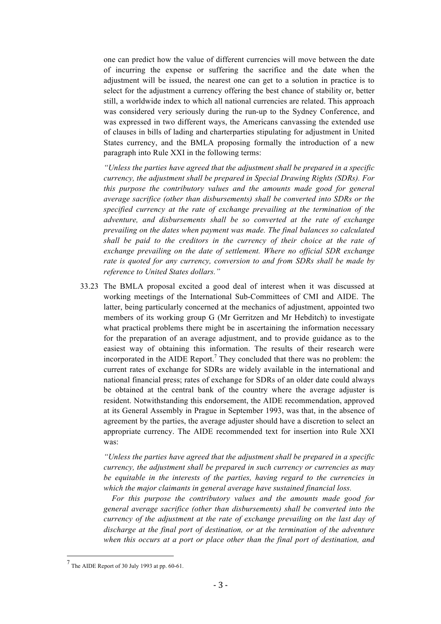one can predict how the value of different currencies will move between the date of incurring the expense or suffering the sacrifice and the date when the adjustment will be issued, the nearest one can get to a solution in practice is to select for the adjustment a currency offering the best chance of stability or, better still, a worldwide index to which all national currencies are related. This approach was considered very seriously during the run-up to the Sydney Conference, and was expressed in two different ways, the Americans canvassing the extended use of clauses in bills of lading and charterparties stipulating for adjustment in United States currency, and the BMLA proposing formally the introduction of a new paragraph into Rule XXI in the following terms:

*"Unless the parties have agreed that the adjustment shall be prepared in a specific currency, the adjustment shall be prepared in Special Drawing Rights (SDRs). For this purpose the contributory values and the amounts made good for general average sacrifice (other than disbursements) shall be converted into SDRs or the specified currency at the rate of exchange prevailing at the termination of the adventure, and disbursements shall be so converted at the rate of exchange prevailing on the dates when payment was made. The final balances so calculated shall be paid to the creditors in the currency of their choice at the rate of exchange prevailing on the date of settlement. Where no official SDR exchange rate is quoted for any currency, conversion to and from SDRs shall be made by reference to United States dollars."*

33.23 The BMLA proposal excited a good deal of interest when it was discussed at working meetings of the International Sub-Committees of CMI and AIDE. The latter, being particularly concerned at the mechanics of adjustment, appointed two members of its working group G (Mr Gerritzen and Mr Hebditch) to investigate what practical problems there might be in ascertaining the information necessary for the preparation of an average adjustment, and to provide guidance as to the easiest way of obtaining this information. The results of their research were incorporated in the AIDE Report.<sup>7</sup> They concluded that there was no problem: the current rates of exchange for SDRs are widely available in the international and national financial press; rates of exchange for SDRs of an older date could always be obtained at the central bank of the country where the average adjuster is resident. Notwithstanding this endorsement, the AIDE recommendation, approved at its General Assembly in Prague in September 1993, was that, in the absence of agreement by the parties, the average adjuster should have a discretion to select an appropriate currency. The AIDE recommended text for insertion into Rule XXI was:

*"Unless the parties have agreed that the adjustment shall be prepared in a specific currency, the adjustment shall be prepared in such currency or currencies as may be equitable in the interests of the parties, having regard to the currencies in which the major claimants in general average have sustained financial loss.*

*For this purpose the contributory values and the amounts made good for general average sacrifice (other than disbursements) shall be converted into the currency of the adjustment at the rate of exchange prevailing on the last day of discharge at the final port of destination, or at the termination of the adventure when this occurs at a port or place other than the final port of destination, and* 

 <sup>7</sup> The AIDE Report of 30 July 1993 at pp. 60-61.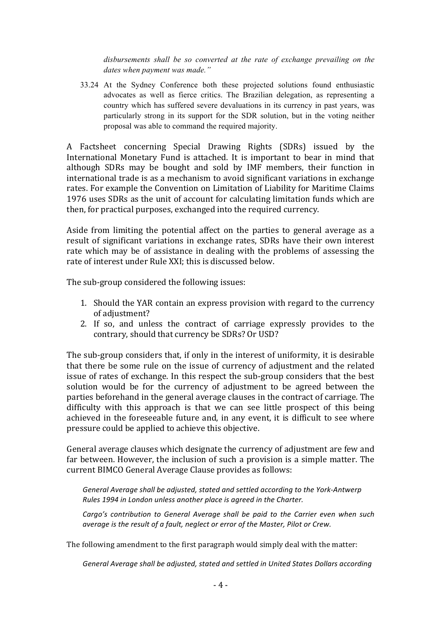*disbursements shall be so converted at the rate of exchange prevailing on the dates when payment was made."*

33.24 At the Sydney Conference both these projected solutions found enthusiastic advocates as well as fierce critics. The Brazilian delegation, as representing a country which has suffered severe devaluations in its currency in past years, was particularly strong in its support for the SDR solution, but in the voting neither proposal was able to command the required majority.

A Factsheet concerning Special Drawing Rights (SDRs) issued by the International Monetary Fund is attached. It is important to bear in mind that although SDRs may be bought and sold by IMF members, their function in international trade is as a mechanism to avoid significant variations in exchange rates. For example the Convention on Limitation of Liability for Maritime Claims 1976 uses SDRs as the unit of account for calculating limitation funds which are then, for practical purposes, exchanged into the required currency.

Aside from limiting the potential affect on the parties to general average as a result of significant variations in exchange rates. SDRs have their own interest rate which may be of assistance in dealing with the problems of assessing the rate of interest under Rule XXI; this is discussed below.

The sub-group considered the following issues:

- 1. Should the YAR contain an express provision with regard to the currency of adjustment?
- 2. If so, and unless the contract of carriage expressly provides to the contrary, should that currency be SDRs? Or USD?

The sub-group considers that, if only in the interest of uniformity, it is desirable that there be some rule on the issue of currency of adjustment and the related issue of rates of exchange. In this respect the sub-group considers that the best solution would be for the currency of adjustment to be agreed between the parties beforehand in the general average clauses in the contract of carriage. The difficulty with this approach is that we can see little prospect of this being achieved in the foreseeable future and, in any event, it is difficult to see where pressure could be applied to achieve this objective.

General average clauses which designate the currency of adjustment are few and far between. However, the inclusion of such a provision is a simple matter. The current BIMCO General Average Clause provides as follows:

General Average shall be adjusted, stated and settled according to the York-Antwerp *Rules* 1994 in London unless another place is agreed in the Charter.

*Cargo's* contribution to General Average shall be paid to the Carrier even when such *average is the result of a fault, neglect or error of the Master, Pilot or Crew.* 

The following amendment to the first paragraph would simply deal with the matter:

General Average shall be adjusted, stated and settled in United States Dollars according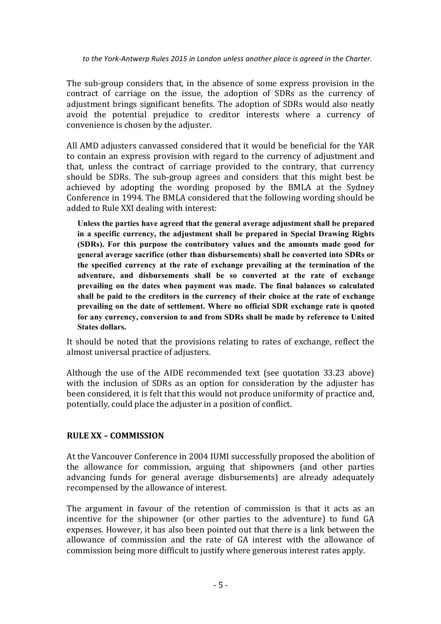to the York-Antwerp Rules 2015 in London unless another place is agreed in the Charter.

The sub-group considers that, in the absence of some express provision in the contract of carriage on the issue, the adoption of SDRs as the currency of adjustment brings significant benefits. The adoption of SDRs would also neatly avoid the potential prejudice to creditor interests where a currency of convenience is chosen by the adjuster.

All AMD adjusters canvassed considered that it would be beneficial for the YAR to contain an express provision with regard to the currency of adjustment and that, unless the contract of carriage provided to the contrary, that currency should be SDRs. The sub-group agrees and considers that this might best be achieved by adopting the wording proposed by the BMLA at the Sydney Conference in 1994. The BMLA considered that the following wording should be added to Rule XXI dealing with interest:

**Unless the parties have agreed that the general average adjustment shall be prepared in a specific currency, the adjustment shall be prepared in Special Drawing Rights (SDRs). For this purpose the contributory values and the amounts made good for general average sacrifice (other than disbursements) shall be converted into SDRs or the specified currency at the rate of exchange prevailing at the termination of the adventure, and disbursements shall be so converted at the rate of exchange prevailing on the dates when payment was made. The final balances so calculated shall be paid to the creditors in the currency of their choice at the rate of exchange prevailing on the date of settlement. Where no official SDR exchange rate is quoted for any currency, conversion to and from SDRs shall be made by reference to United States dollars.**

It should be noted that the provisions relating to rates of exchange, reflect the almost universal practice of adjusters.

Although the use of the AIDE recommended text (see quotation  $33.23$  above) with the inclusion of SDRs as an option for consideration by the adjuster has been considered, it is felt that this would not produce uniformity of practice and, potentially, could place the adjuster in a position of conflict.

# **RULE XX – COMMISSION**

At the Vancouver Conference in 2004 IUMI successfully proposed the abolition of the allowance for commission, arguing that shipowners (and other parties advancing funds for general average disbursements) are already adequately recompensed by the allowance of interest.

The argument in favour of the retention of commission is that it acts as an incentive for the shipowner (or other parties to the adventure) to fund GA expenses. However, it has also been pointed out that there is a link between the allowance of commission and the rate of GA interest with the allowance of commission being more difficult to justify where generous interest rates apply.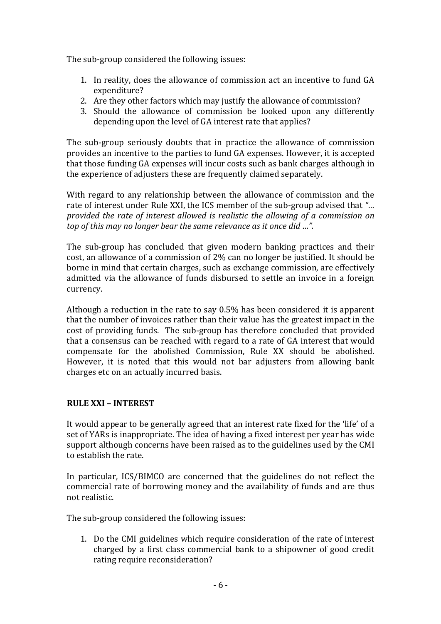The sub-group considered the following issues:

- 1. In reality, does the allowance of commission act an incentive to fund GA expenditure?
- 2. Are they other factors which may justify the allowance of commission?
- 3. Should the allowance of commission be looked upon any differently depending upon the level of GA interest rate that applies?

The sub-group seriously doubts that in practice the allowance of commission provides an incentive to the parties to fund GA expenses. However, it is accepted that those funding GA expenses will incur costs such as bank charges although in the experience of adjusters these are frequently claimed separately.

With regard to any relationship between the allowance of commission and the rate of interest under Rule XXI, the ICS member of the sub-group advised that "... *provided the rate of interest allowed is realistic the allowing of a commission on top* of this may no longer bear the same relevance as it once did ...".

The sub-group has concluded that given modern banking practices and their cost, an allowance of a commission of 2% can no longer be justified. It should be borne in mind that certain charges, such as exchange commission, are effectively admitted via the allowance of funds disbursed to settle an invoice in a foreign currency.

Although a reduction in the rate to say  $0.5\%$  has been considered it is apparent that the number of invoices rather than their value has the greatest impact in the cost of providing funds. The sub-group has therefore concluded that provided that a consensus can be reached with regard to a rate of GA interest that would compensate for the abolished Commission, Rule XX should be abolished. However, it is noted that this would not bar adjusters from allowing bank charges etc on an actually incurred basis.

# **RULE XXI – INTEREST**

It would appear to be generally agreed that an interest rate fixed for the 'life' of a set of YARs is inappropriate. The idea of having a fixed interest per year has wide support although concerns have been raised as to the guidelines used by the CMI to establish the rate.

In particular, ICS/BIMCO are concerned that the guidelines do not reflect the commercial rate of borrowing money and the availability of funds and are thus not realistic.

The sub-group considered the following issues:

1. Do the CMI guidelines which require consideration of the rate of interest charged by a first class commercial bank to a shipowner of good credit rating require reconsideration?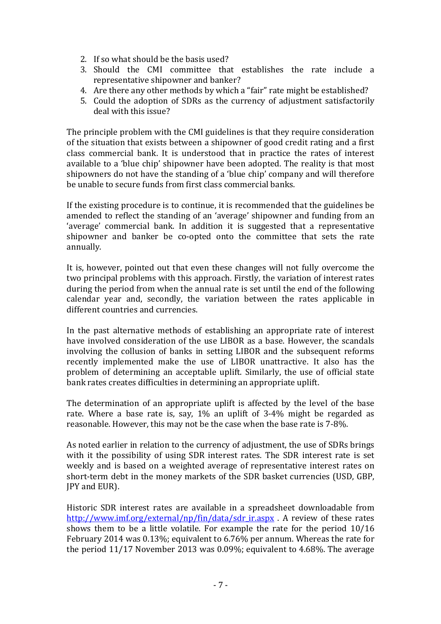- 2. If so what should be the basis used?
- 3. Should the CMI committee that establishes the rate include a representative shipowner and banker?
- 4. Are there any other methods by which a "fair" rate might be established?
- 5. Could the adoption of SDRs as the currency of adjustment satisfactorily deal with this issue?

The principle problem with the CMI guidelines is that they require consideration of the situation that exists between a shipowner of good credit rating and a first class commercial bank. It is understood that in practice the rates of interest available to a 'blue chip' shipowner have been adopted. The reality is that most shipowners do not have the standing of a 'blue chip' company and will therefore be unable to secure funds from first class commercial banks.

If the existing procedure is to continue, it is recommended that the guidelines be amended to reflect the standing of an 'average' shipowner and funding from an 'average' commercial bank. In addition it is suggested that a representative shipowner and banker be co-opted onto the committee that sets the rate annually. 

It is, however, pointed out that even these changes will not fully overcome the two principal problems with this approach. Firstly, the variation of interest rates during the period from when the annual rate is set until the end of the following calendar year and, secondly, the variation between the rates applicable in different countries and currencies.

In the past alternative methods of establishing an appropriate rate of interest have involved consideration of the use LIBOR as a base. However, the scandals involving the collusion of banks in setting LIBOR and the subsequent reforms recently implemented make the use of LIBOR unattractive. It also has the problem of determining an acceptable uplift. Similarly, the use of official state bank rates creates difficulties in determining an appropriate uplift.

The determination of an appropriate uplift is affected by the level of the base rate. Where a base rate is, say,  $1\%$  an uplift of 3-4% might be regarded as reasonable. However, this may not be the case when the base rate is 7-8%.

As noted earlier in relation to the currency of adjustment, the use of SDRs brings with it the possibility of using SDR interest rates. The SDR interest rate is set weekly and is based on a weighted average of representative interest rates on short-term debt in the money markets of the SDR basket currencies (USD, GBP, JPY and EUR).

Historic SDR interest rates are available in a spreadsheet downloadable from http://www.imf.org/external/np/fin/data/sdr\_ir.aspx . A review of these rates shows them to be a little volatile. For example the rate for the period  $10/16$ February 2014 was 0.13%; equivalent to 6.76% per annum. Whereas the rate for the period  $11/17$  November 2013 was 0.09%; equivalent to 4.68%. The average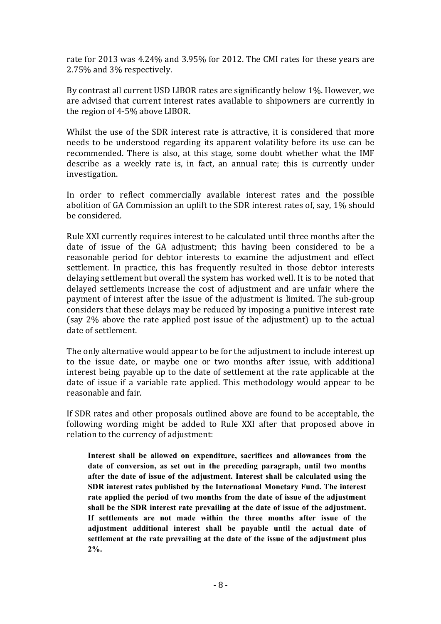rate for 2013 was 4.24% and 3.95% for 2012. The CMI rates for these years are 2.75% and 3% respectively.

By contrast all current USD LIBOR rates are significantly below 1%. However, we are advised that current interest rates available to shipowners are currently in the region of  $4-5\%$  above LIBOR.

Whilst the use of the SDR interest rate is attractive, it is considered that more needs to be understood regarding its apparent volatility before its use can be recommended. There is also, at this stage, some doubt whether what the IMF describe as a weekly rate is, in fact, an annual rate; this is currently under investigation.

In order to reflect commercially available interest rates and the possible abolition of GA Commission an uplift to the SDR interest rates of, say,  $1\%$  should be considered.

Rule XXI currently requires interest to be calculated until three months after the date of issue of the GA adjustment; this having been considered to be a reasonable period for debtor interests to examine the adjustment and effect settlement. In practice, this has frequently resulted in those debtor interests delaying settlement but overall the system has worked well. It is to be noted that delayed settlements increase the cost of adjustment and are unfair where the payment of interest after the issue of the adjustment is limited. The sub-group considers that these delays may be reduced by imposing a punitive interest rate (say  $2\%$  above the rate applied post issue of the adjustment) up to the actual date of settlement.

The only alternative would appear to be for the adjustment to include interest up to the issue date, or maybe one or two months after issue, with additional interest being payable up to the date of settlement at the rate applicable at the date of issue if a variable rate applied. This methodology would appear to be reasonable and fair.

If SDR rates and other proposals outlined above are found to be acceptable, the following wording might be added to Rule XXI after that proposed above in relation to the currency of adjustment:

**Interest shall be allowed on expenditure, sacrifices and allowances from the date of conversion, as set out in the preceding paragraph, until two months after the date of issue of the adjustment. Interest shall be calculated using the SDR interest rates published by the International Monetary Fund. The interest rate applied the period of two months from the date of issue of the adjustment shall be the SDR interest rate prevailing at the date of issue of the adjustment. If settlements are not made within the three months after issue of the adjustment additional interest shall be payable until the actual date of settlement at the rate prevailing at the date of the issue of the adjustment plus 2%.**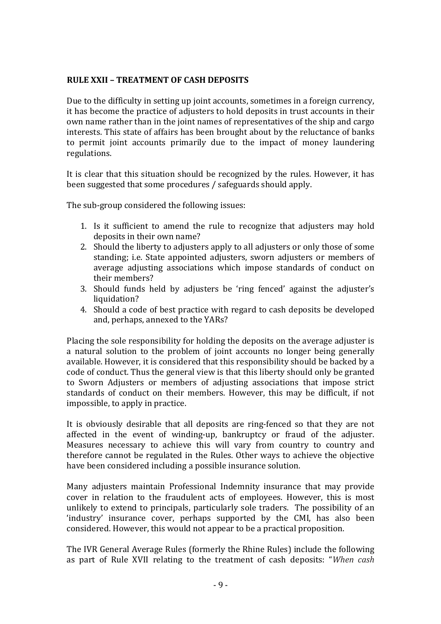# **RULE XXII – TREATMENT OF CASH DEPOSITS**

Due to the difficulty in setting up joint accounts, sometimes in a foreign currency, it has become the practice of adjusters to hold deposits in trust accounts in their own name rather than in the joint names of representatives of the ship and cargo interests. This state of affairs has been brought about by the reluctance of banks to permit joint accounts primarily due to the impact of money laundering regulations.

It is clear that this situation should be recognized by the rules. However, it has been suggested that some procedures / safeguards should apply.

The sub-group considered the following issues:

- 1. Is it sufficient to amend the rule to recognize that adjusters may hold deposits in their own name?
- 2. Should the liberty to adjusters apply to all adjusters or only those of some standing; i.e. State appointed adjusters, sworn adjusters or members of average adjusting associations which impose standards of conduct on their members?
- 3. Should funds held by adjusters be 'ring fenced' against the adjuster's liquidation?
- 4. Should a code of best practice with regard to cash deposits be developed and, perhaps, annexed to the YARs?

Placing the sole responsibility for holding the deposits on the average adjuster is a natural solution to the problem of joint accounts no longer being generally available. However, it is considered that this responsibility should be backed by a code of conduct. Thus the general view is that this liberty should only be granted to Sworn Adjusters or members of adjusting associations that impose strict standards of conduct on their members. However, this may be difficult, if not impossible, to apply in practice.

It is obviously desirable that all deposits are ring-fenced so that they are not affected in the event of winding-up, bankruptcy or fraud of the adjuster. Measures necessary to achieve this will vary from country to country and therefore cannot be regulated in the Rules. Other ways to achieve the objective have been considered including a possible insurance solution.

Many adjusters maintain Professional Indemnity insurance that may provide cover in relation to the fraudulent acts of employees. However, this is most unlikely to extend to principals, particularly sole traders. The possibility of an 'industry' insurance cover, perhaps supported by the CMI, has also been considered. However, this would not appear to be a practical proposition.

The IVR General Average Rules (formerly the Rhine Rules) include the following as part of Rule XVII relating to the treatment of cash deposits: "*When cash*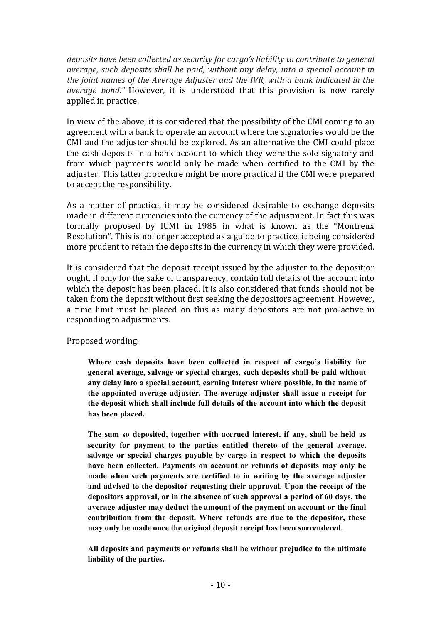*deposits have been collected as security for cargo's liability to contribute to general average, such deposits shall be paid, without any delay, into a special account in the joint names of the Average Adjuster and the IVR, with a bank indicated in the average bond.*" However, it is understood that this provision is now rarely applied in practice.

In view of the above, it is considered that the possibility of the CMI coming to an agreement with a bank to operate an account where the signatories would be the CMI and the adjuster should be explored. As an alternative the CMI could place the cash deposits in a bank account to which they were the sole signatory and from which payments would only be made when certified to the CMI by the adjuster. This latter procedure might be more practical if the CMI were prepared to accept the responsibility.

As a matter of practice, it may be considered desirable to exchange deposits made in different currencies into the currency of the adjustment. In fact this was formally proposed by IUMI in 1985 in what is known as the "Montreux Resolution". This is no longer accepted as a guide to practice, it being considered more prudent to retain the deposits in the currency in which they were provided.

It is considered that the deposit receipt issued by the adjuster to the depositior ought, if only for the sake of transparency, contain full details of the account into which the deposit has been placed. It is also considered that funds should not be taken from the deposit without first seeking the depositors agreement. However, a time limit must be placed on this as many depositors are not pro-active in responding to adjustments.

Proposed wording:

**Where cash deposits have been collected in respect of cargo's liability for general average, salvage or special charges, such deposits shall be paid without any delay into a special account, earning interest where possible, in the name of the appointed average adjuster. The average adjuster shall issue a receipt for the deposit which shall include full details of the account into which the deposit has been placed.**

**The sum so deposited, together with accrued interest, if any, shall be held as security for payment to the parties entitled thereto of the general average, salvage or special charges payable by cargo in respect to which the deposits have been collected. Payments on account or refunds of deposits may only be made when such payments are certified to in writing by the average adjuster and advised to the depositor requesting their approval. Upon the receipt of the depositors approval, or in the absence of such approval a period of 60 days, the average adjuster may deduct the amount of the payment on account or the final contribution from the deposit. Where refunds are due to the depositor, these may only be made once the original deposit receipt has been surrendered.**

**All deposits and payments or refunds shall be without prejudice to the ultimate liability of the parties.**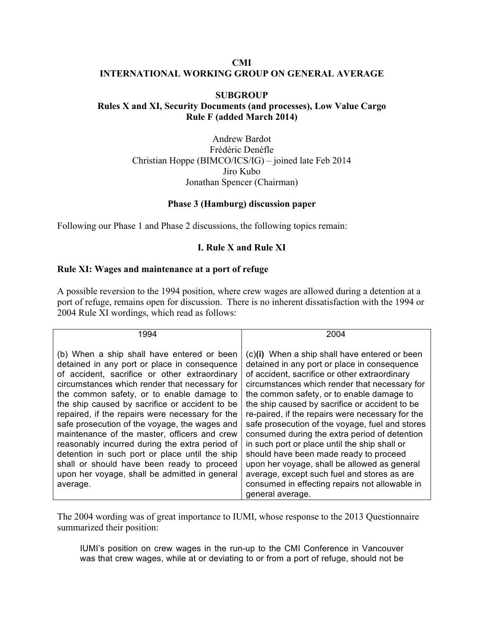#### **CMI INTERNATIONAL WORKING GROUP ON GENERAL AVERAGE**

## **SUBGROUP Rules X and XI, Security Documents (and processes), Low Value Cargo Rule F (added March 2014)**

Andrew Bardot Frédéric Denèfle Christian Hoppe (BIMCO/ICS/IG) – joined late Feb 2014 Jiro Kubo Jonathan Spencer (Chairman)

#### **Phase 3 (Hamburg) discussion paper**

Following our Phase 1 and Phase 2 discussions, the following topics remain:

## **I. Rule X and Rule XI**

## **Rule XI: Wages and maintenance at a port of refuge**

A possible reversion to the 1994 position, where crew wages are allowed during a detention at a port of refuge, remains open for discussion. There is no inherent dissatisfaction with the 1994 or 2004 Rule XI wordings, which read as follows:

| 1994                                                                                                                                                                                                                                                                                                                                                                                                                                                                                                                                                                                                                                                           | 2004                                                                                                                                                                                                                                                                                                                                                                                                                                                                                                                                                                                                                                                                                                                   |
|----------------------------------------------------------------------------------------------------------------------------------------------------------------------------------------------------------------------------------------------------------------------------------------------------------------------------------------------------------------------------------------------------------------------------------------------------------------------------------------------------------------------------------------------------------------------------------------------------------------------------------------------------------------|------------------------------------------------------------------------------------------------------------------------------------------------------------------------------------------------------------------------------------------------------------------------------------------------------------------------------------------------------------------------------------------------------------------------------------------------------------------------------------------------------------------------------------------------------------------------------------------------------------------------------------------------------------------------------------------------------------------------|
| (b) When a ship shall have entered or been<br>detained in any port or place in consequence<br>of accident, sacrifice or other extraordinary<br>circumstances which render that necessary for<br>the common safety, or to enable damage to<br>the ship caused by sacrifice or accident to be<br>repaired, if the repairs were necessary for the<br>safe prosecution of the voyage, the wages and<br>maintenance of the master, officers and crew<br>reasonably incurred during the extra period of<br>detention in such port or place until the ship<br>shall or should have been ready to proceed<br>upon her voyage, shall be admitted in general<br>average. | (c)(i) When a ship shall have entered or been<br>detained in any port or place in consequence<br>of accident, sacrifice or other extraordinary<br>circumstances which render that necessary for<br>the common safety, or to enable damage to<br>the ship caused by sacrifice or accident to be<br>re-paired, if the repairs were necessary for the<br>safe prosecution of the voyage, fuel and stores<br>consumed during the extra period of detention<br>in such port or place until the ship shall or<br>should have been made ready to proceed<br>upon her voyage, shall be allowed as general<br>average, except such fuel and stores as are<br>consumed in effecting repairs not allowable in<br>general average. |

The 2004 wording was of great importance to IUMI, whose response to the 2013 Questionnaire summarized their position:

IUMI's position on crew wages in the run-up to the CMI Conference in Vancouver was that crew wages, while at or deviating to or from a port of refuge, should not be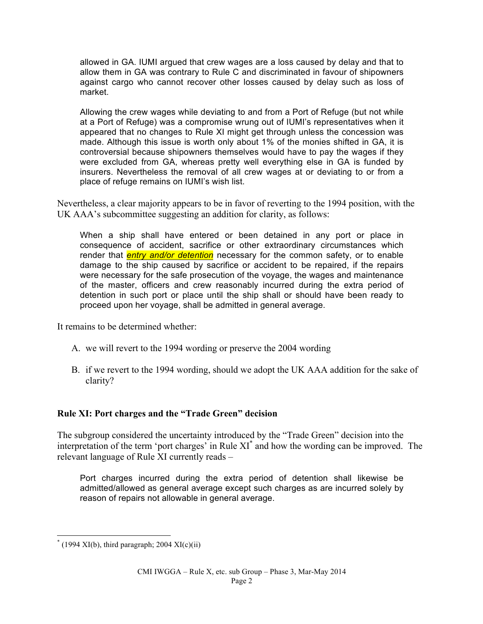allowed in GA. IUMI argued that crew wages are a loss caused by delay and that to allow them in GA was contrary to Rule C and discriminated in favour of shipowners against cargo who cannot recover other losses caused by delay such as loss of market.

Allowing the crew wages while deviating to and from a Port of Refuge (but not while at a Port of Refuge) was a compromise wrung out of IUMI's representatives when it appeared that no changes to Rule XI might get through unless the concession was made. Although this issue is worth only about 1% of the monies shifted in GA, it is controversial because shipowners themselves would have to pay the wages if they were excluded from GA, whereas pretty well everything else in GA is funded by insurers. Nevertheless the removal of all crew wages at or deviating to or from a place of refuge remains on IUMI's wish list.

Nevertheless, a clear majority appears to be in favor of reverting to the 1994 position, with the UK AAA's subcommittee suggesting an addition for clarity, as follows:

When a ship shall have entered or been detained in any port or place in consequence of accident, sacrifice or other extraordinary circumstances which render that *entry and/or detention* necessary for the common safety, or to enable damage to the ship caused by sacrifice or accident to be repaired, if the repairs were necessary for the safe prosecution of the voyage, the wages and maintenance of the master, officers and crew reasonably incurred during the extra period of detention in such port or place until the ship shall or should have been ready to proceed upon her voyage, shall be admitted in general average.

It remains to be determined whether:

- A. we will revert to the 1994 wording or preserve the 2004 wording
- B. if we revert to the 1994 wording, should we adopt the UK AAA addition for the sake of clarity?

## **Rule XI: Port charges and the "Trade Green" decision**

The subgroup considered the uncertainty introduced by the "Trade Green" decision into the interpretation of the term 'port charges' in Rule XI\* and how the wording can be improved. The relevant language of Rule XI currently reads –

Port charges incurred during the extra period of detention shall likewise be admitted/allowed as general average except such charges as are incurred solely by reason of repairs not allowable in general average.

 $*(1994 \text{ XI(b)}, \text{third paragraph}; 2004 \text{ XI(c)}$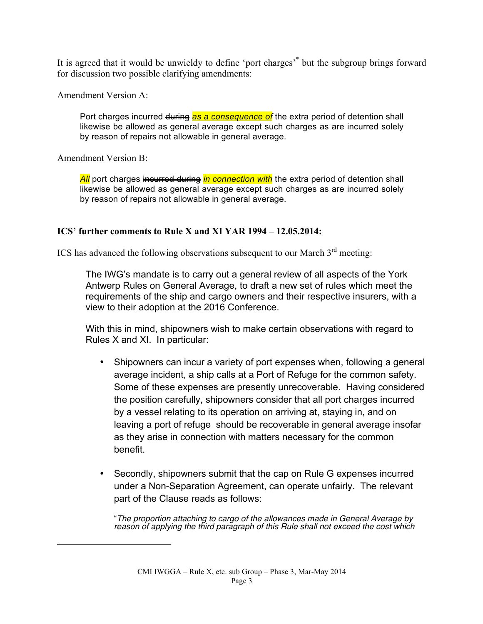It is agreed that it would be unwieldy to define 'port charges'\* but the subgroup brings forward for discussion two possible clarifying amendments:

Amendment Version A:

Port charges incurred during as a consequence of the extra period of detention shall likewise be allowed as general average except such charges as are incurred solely by reason of repairs not allowable in general average.

Amendment Version B:

 $\overline{a}$ 

**All** port charges incurred during *in connection with* the extra period of detention shall likewise be allowed as general average except such charges as are incurred solely by reason of repairs not allowable in general average.

## **ICS' further comments to Rule X and XI YAR 1994 – 12.05.2014:**

ICS has advanced the following observations subsequent to our March  $3<sup>rd</sup>$  meeting:

The IWG's mandate is to carry out a general review of all aspects of the York Antwerp Rules on General Average, to draft a new set of rules which meet the requirements of the ship and cargo owners and their respective insurers, with a view to their adoption at the 2016 Conference.

With this in mind, shipowners wish to make certain observations with regard to Rules X and XI. In particular:

- Shipowners can incur a variety of port expenses when, following a general average incident, a ship calls at a Port of Refuge for the common safety. Some of these expenses are presently unrecoverable. Having considered the position carefully, shipowners consider that all port charges incurred by a vessel relating to its operation on arriving at, staying in, and on leaving a port of refuge should be recoverable in general average insofar as they arise in connection with matters necessary for the common benefit.
- Secondly, shipowners submit that the cap on Rule G expenses incurred under a Non-Separation Agreement, can operate unfairly. The relevant part of the Clause reads as follows:

"*The proportion attaching to cargo of the allowances made in General Average by reason of applying the third paragraph of this Rule shall not exceed the cost which*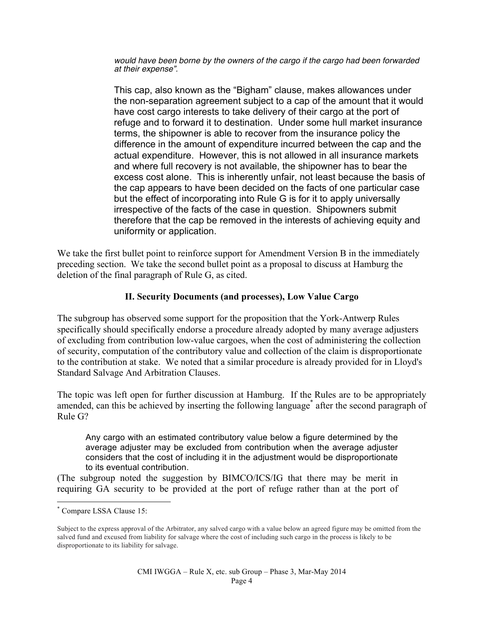*would have been borne by the owners of the cargo if the cargo had been forwarded at their expense".*

This cap, also known as the "Bigham" clause, makes allowances under the non-separation agreement subject to a cap of the amount that it would have cost cargo interests to take delivery of their cargo at the port of refuge and to forward it to destination. Under some hull market insurance terms, the shipowner is able to recover from the insurance policy the difference in the amount of expenditure incurred between the cap and the actual expenditure. However, this is not allowed in all insurance markets and where full recovery is not available, the shipowner has to bear the excess cost alone. This is inherently unfair, not least because the basis of the cap appears to have been decided on the facts of one particular case but the effect of incorporating into Rule G is for it to apply universally irrespective of the facts of the case in question. Shipowners submit therefore that the cap be removed in the interests of achieving equity and uniformity or application.

We take the first bullet point to reinforce support for Amendment Version B in the immediately preceding section. We take the second bullet point as a proposal to discuss at Hamburg the deletion of the final paragraph of Rule G, as cited.

## **II. Security Documents (and processes), Low Value Cargo**

The subgroup has observed some support for the proposition that the York-Antwerp Rules specifically should specifically endorse a procedure already adopted by many average adjusters of excluding from contribution low-value cargoes, when the cost of administering the collection of security, computation of the contributory value and collection of the claim is disproportionate to the contribution at stake. We noted that a similar procedure is already provided for in Lloyd's Standard Salvage And Arbitration Clauses.

The topic was left open for further discussion at Hamburg. If the Rules are to be appropriately amended, can this be achieved by inserting the following language<sup>\*</sup> after the second paragraph of Rule G?

Any cargo with an estimated contributory value below a figure determined by the average adjuster may be excluded from contribution when the average adjuster considers that the cost of including it in the adjustment would be disproportionate to its eventual contribution.

(The subgroup noted the suggestion by BIMCO/ICS/IG that there may be merit in requiring GA security to be provided at the port of refuge rather than at the port of

 <sup>\*</sup> Compare LSSA Clause 15:

Subject to the express approval of the Arbitrator, any salved cargo with a value below an agreed figure may be omitted from the salved fund and excused from liability for salvage where the cost of including such cargo in the process is likely to be disproportionate to its liability for salvage.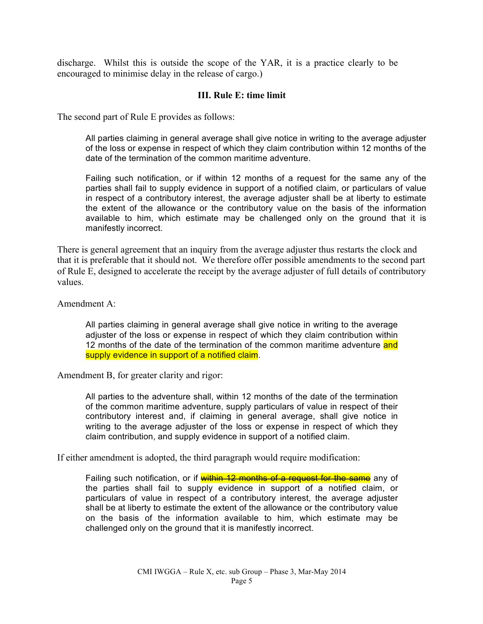discharge. Whilst this is outside the scope of the YAR, it is a practice clearly to be encouraged to minimise delay in the release of cargo.)

#### **III. Rule E: time limit**

The second part of Rule E provides as follows:

All parties claiming in general average shall give notice in writing to the average adjuster of the loss or expense in respect of which they claim contribution within 12 months of the date of the termination of the common maritime adventure.

Failing such notification, or if within 12 months of a request for the same any of the parties shall fail to supply evidence in support of a notified claim, or particulars of value in respect of a contributory interest, the average adjuster shall be at liberty to estimate the extent of the allowance or the contributory value on the basis of the information available to him, which estimate may be challenged only on the ground that it is manifestly incorrect.

There is general agreement that an inquiry from the average adjuster thus restarts the clock and that it is preferable that it should not. We therefore offer possible amendments to the second part of Rule E, designed to accelerate the receipt by the average adjuster of full details of contributory values.

Amendment A:

All parties claiming in general average shall give notice in writing to the average adjuster of the loss or expense in respect of which they claim contribution within 12 months of the date of the termination of the common maritime adventure and supply evidence in support of a notified claim.

Amendment B, for greater clarity and rigor:

All parties to the adventure shall, within 12 months of the date of the termination of the common maritime adventure, supply particulars of value in respect of their contributory interest and, if claiming in general average, shall give notice in writing to the average adjuster of the loss or expense in respect of which they claim contribution, and supply evidence in support of a notified claim.

If either amendment is adopted, the third paragraph would require modification:

Failing such notification, or if within 12 months of a request for the same any of the parties shall fail to supply evidence in support of a notified claim, or particulars of value in respect of a contributory interest, the average adjuster shall be at liberty to estimate the extent of the allowance or the contributory value on the basis of the information available to him, which estimate may be challenged only on the ground that it is manifestly incorrect.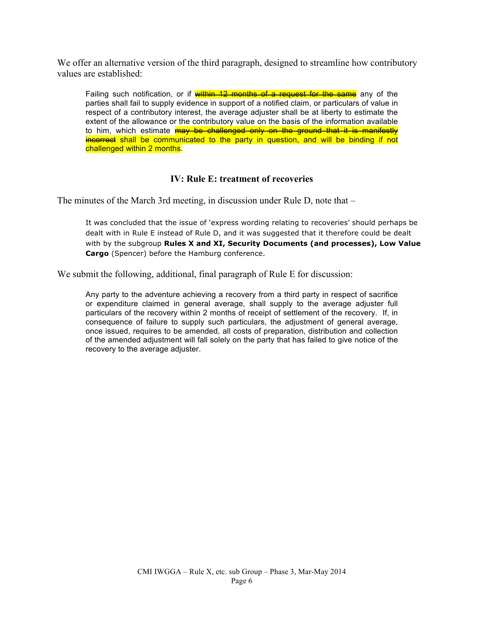We offer an alternative version of the third paragraph, designed to streamline how contributory values are established:

Failing such notification, or if within 12 months of a request for the same any of the parties shall fail to supply evidence in support of a notified claim, or particulars of value in respect of a contributory interest, the average adjuster shall be at liberty to estimate the extent of the allowance or the contributory value on the basis of the information available to him, which estimate **may be challenged only on the ground that it is manifestly** incorrect shall be communicated to the party in question, and will be binding if not challenged within 2 months.

## **IV: Rule E: treatment of recoveries**

The minutes of the March 3rd meeting, in discussion under Rule D, note that –

It was concluded that the issue of 'express wording relating to recoveries' should perhaps be dealt with in Rule E instead of Rule D, and it was suggested that it therefore could be dealt with by the subgroup **Rules X and XI, Security Documents (and processes), Low Value Cargo** (Spencer) before the Hamburg conference.

We submit the following, additional, final paragraph of Rule E for discussion:

Any party to the adventure achieving a recovery from a third party in respect of sacrifice or expenditure claimed in general average, shall supply to the average adjuster full particulars of the recovery within 2 months of receipt of settlement of the recovery. If, in consequence of failure to supply such particulars, the adjustment of general average, once issued, requires to be amended, all costs of preparation, distribution and collection of the amended adjustment will fall solely on the party that has failed to give notice of the recovery to the average adjuster.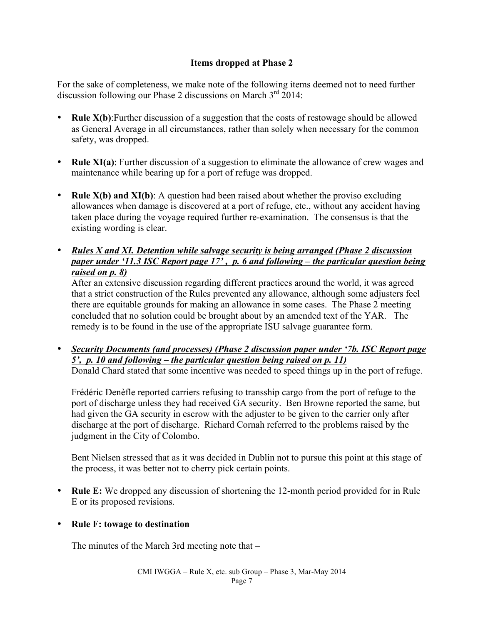# **Items dropped at Phase 2**

For the sake of completeness, we make note of the following items deemed not to need further discussion following our Phase 2 discussions on March  $3<sup>rd</sup>$  2014:

- **Rule X(b)**: Further discussion of a suggestion that the costs of restowage should be allowed as General Average in all circumstances, rather than solely when necessary for the common safety, was dropped.
- **Rule XI(a)**: Further discussion of a suggestion to eliminate the allowance of crew wages and maintenance while bearing up for a port of refuge was dropped.
- **Rule X(b) and XI(b)**: A question had been raised about whether the proviso excluding allowances when damage is discovered at a port of refuge, etc., without any accident having taken place during the voyage required further re-examination. The consensus is that the existing wording is clear.
- *Rules X and XI. Detention while salvage security is being arranged (Phase 2 discussion paper under '11.3 ISC Report page 17' , p. 6 and following – the particular question being raised on p. 8)*

After an extensive discussion regarding different practices around the world, it was agreed that a strict construction of the Rules prevented any allowance, although some adjusters feel there are equitable grounds for making an allowance in some cases. The Phase 2 meeting concluded that no solution could be brought about by an amended text of the YAR. The remedy is to be found in the use of the appropriate ISU salvage guarantee form.

• *Security Documents (and processes) (Phase 2 discussion paper under '7b. ISC Report page 5', p. 10 and following – the particular question being raised on p. 11)* Donald Chard stated that some incentive was needed to speed things up in the port of refuge.

Frédéric Denèfle reported carriers refusing to transship cargo from the port of refuge to the port of discharge unless they had received GA security. Ben Browne reported the same, but had given the GA security in escrow with the adjuster to be given to the carrier only after discharge at the port of discharge. Richard Cornah referred to the problems raised by the judgment in the City of Colombo.

Bent Nielsen stressed that as it was decided in Dublin not to pursue this point at this stage of the process, it was better not to cherry pick certain points.

- **Rule E:** We dropped any discussion of shortening the 12-month period provided for in Rule E or its proposed revisions.
- **Rule F: towage to destination**

The minutes of the March 3rd meeting note that –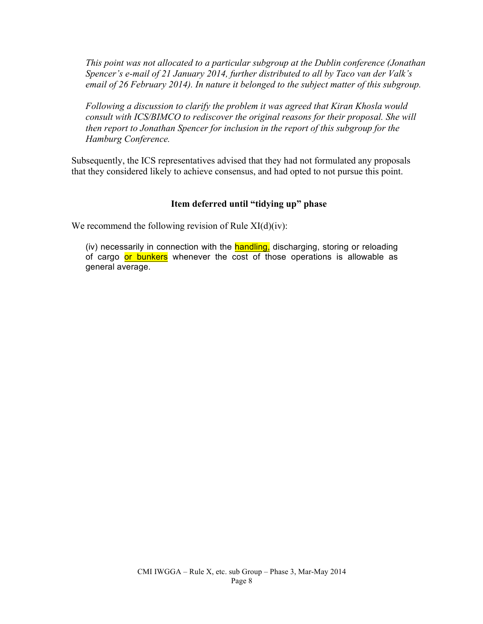*This point was not allocated to a particular subgroup at the Dublin conference (Jonathan Spencer's e-mail of 21 January 2014, further distributed to all by Taco van der Valk's email of 26 February 2014). In nature it belonged to the subject matter of this subgroup.* 

*Following a discussion to clarify the problem it was agreed that Kiran Khosla would consult with ICS/BIMCO to rediscover the original reasons for their proposal. She will then report to Jonathan Spencer for inclusion in the report of this subgroup for the Hamburg Conference.*

Subsequently, the ICS representatives advised that they had not formulated any proposals that they considered likely to achieve consensus, and had opted to not pursue this point.

# **Item deferred until "tidying up" phase**

We recommend the following revision of Rule  $XI(d)(iv)$ :

(iv) necessarily in connection with the **handling**, discharging, storing or reloading of cargo or bunkers whenever the cost of those operations is allowable as general average.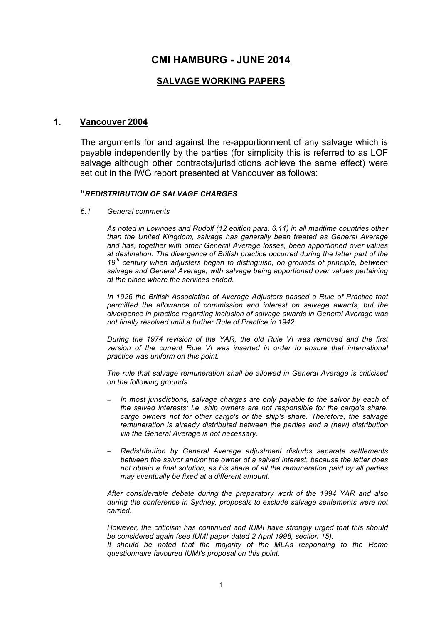# **CMI HAMBURG - JUNE 2014**

## **SALVAGE WORKING PAPERS**

#### **1. Vancouver 2004**

The arguments for and against the re-apportionment of any salvage which is payable independently by the parties (for simplicity this is referred to as LOF salvage although other contracts/jurisdictions achieve the same effect) were set out in the IWG report presented at Vancouver as follows:

#### **"***REDISTRIBUTION OF SALVAGE CHARGES*

*6.1 General comments* 

*As noted in Lowndes and Rudolf (12 edition para. 6.11) in all maritime countries other than the United Kingdom, salvage has generally been treated as General Average and has, together with other General Average losses, been apportioned over values at destination. The divergence of British practice occurred during the latter part of the 19th century when adjusters began to distinguish, on grounds of principle, between salvage and General Average, with salvage being apportioned over values pertaining at the place where the services ended.* 

*In 1926 the British Association of Average Adjusters passed a Rule of Practice that permitted the allowance of commission and interest on salvage awards, but the divergence in practice regarding inclusion of salvage awards in General Average was not finally resolved until a further Rule of Practice in 1942.* 

*During the 1974 revision of the YAR, the old Rule VI was removed and the first version of the current Rule VI was inserted in order to ensure that international practice was uniform on this point.* 

*The rule that salvage remuneration shall be allowed in General Average is criticised on the following grounds:* 

- − *In most jurisdictions, salvage charges are only payable to the salvor by each of the salved interests; i.e. ship owners are not responsible for the cargo's share, cargo owners not for other cargo's or the ship's share. Therefore, the salvage remuneration is already distributed between the parties and a (new) distribution via the General Average is not necessary.*
- − *Redistribution by General Average adjustment disturbs separate settlements between the salvor and/or the owner of a salved interest, because the latter does not obtain a final solution, as his share of all the remuneration paid by all parties may eventually be fixed at a different amount.*

*After considerable debate during the preparatory work of the 1994 YAR and also during the conference in Sydney, proposals to exclude salvage settlements were not carried.* 

*However, the criticism has continued and IUMI have strongly urged that this should be considered again (see IUMI paper dated 2 April 1998, section 15). It should be noted that the majority of the MLAs responding to the Reme* 

*questionnaire favoured IUMI's proposal on this point.*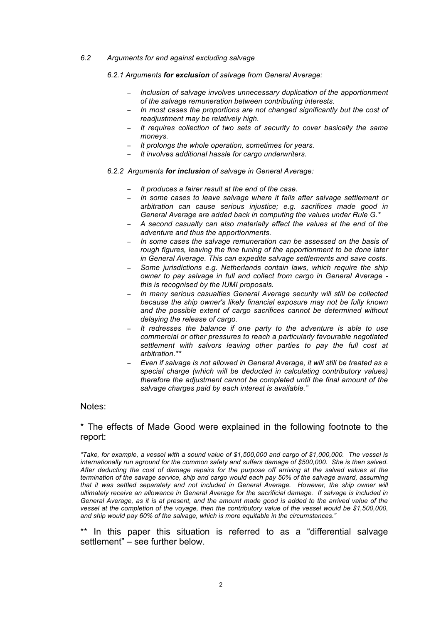*6.2 Arguments for and against excluding salvage* 

*6.2.1 Arguments for exclusion of salvage from General Average:* 

- − *Inclusion of salvage involves unnecessary duplication of the apportionment of the salvage remuneration between contributing interests.*
- − *In most cases the proportions are not changed significantly but the cost of readjustment may be relatively high.*
- − *It requires collection of two sets of security to cover basically the same moneys.*
- *It prolongs the whole operation, sometimes for years.*
- − *It involves additional hassle for cargo underwriters.*
- *6.2.2 Arguments for inclusion of salvage in General Average:* 
	- − *It produces a fairer result at the end of the case.*
	- − *In some cases to leave salvage where it falls after salvage settlement or arbitration can cause serious injustice; e.g. sacrifices made good in General Average are added back in computing the values under Rule G.\**
	- − *A second casualty can also materially affect the values at the end of the adventure and thus the apportionments.*
	- − *In some cases the salvage remuneration can be assessed on the basis of rough figures, leaving the fine tuning of the apportionment to be done later in General Average. This can expedite salvage settlements and save costs.*
	- − *Some jurisdictions e.g. Netherlands contain laws, which require the ship owner to pay salvage in full and collect from cargo in General Average this is recognised by the IUMI proposals.*
	- − *In many serious casualties General Average security will still be collected because the ship owner's likely financial exposure may not be fully known and the possible extent of cargo sacrifices cannot be determined without delaying the release of cargo.*
	- − *It redresses the balance if one party to the adventure is able to use commercial or other pressures to reach a particularly favourable negotiated settlement with salvors leaving other parties to pay the full cost at arbitration.\*\**
	- − *Even if salvage is not allowed in General Average, it will still be treated as a special charge (which will be deducted in calculating contributory values) therefore the adjustment cannot be completed until the final amount of the salvage charges paid by each interest is available."*

#### Notes:

#### \* The effects of Made Good were explained in the following footnote to the report:

*"Take, for example, a vessel with a sound value of \$1,500,000 and cargo of \$1,000,000. The vessel is internationally run aground for the common safety and suffers damage of \$500,000. She is then salved. After deducting the cost of damage repairs for the purpose off arriving at the salved values at the termination of the savage service, ship and cargo would each pay 50% of the salvage award, assuming*  that it was settled separately and not included in General Average. However, the ship owner will *ultimately receive an allowance in General Average for the sacrificial damage. If salvage is included in General Average, as it is at present, and the amount made good is added to the arrived value of the*  vessel at the completion of the voyage, then the contributory value of the vessel would be \$1,500,000, *and ship would pay 60% of the salvage, which is more equitable in the circumstances."*

\*\* In this paper this situation is referred to as a "differential salvage settlement" – see further below.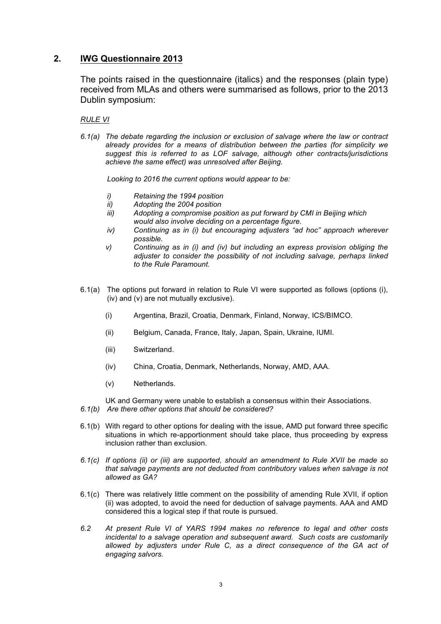## **2. IWG Questionnaire 2013**

The points raised in the questionnaire (italics) and the responses (plain type) received from MLAs and others were summarised as follows, prior to the 2013 Dublin symposium:

*RULE VI*

*6.1(a) The debate regarding the inclusion or exclusion of salvage where the law or contract already provides for a means of distribution between the parties (for simplicity we suggest this is referred to as LOF salvage, although other contracts/jurisdictions achieve the same effect) was unresolved after Beijing.*

*Looking to 2016 the current options would appear to be:*

- *i) Retaining the 1994 position*
- *ii) Adopting the 2004 position*
- *iii) Adopting a compromise position as put forward by CMI in Beijing which would also involve deciding on a percentage figure.*
- *iv) Continuing as in (i) but encouraging adjusters "ad hoc" approach wherever possible.*
- *v) Continuing as in (i) and (iv) but including an express provision obliging the adjuster to consider the possibility of not including salvage, perhaps linked to the Rule Paramount.*
- 6.1(a) The options put forward in relation to Rule VI were supported as follows (options (i), (iv) and (v) are not mutually exclusive).
	- (i) Argentina, Brazil, Croatia, Denmark, Finland, Norway, ICS/BIMCO.
	- (ii) Belgium, Canada, France, Italy, Japan, Spain, Ukraine, IUMI.
	- (iii) Switzerland.
	- (iv) China, Croatia, Denmark, Netherlands, Norway, AMD, AAA.
	- (v) Netherlands.

UK and Germany were unable to establish a consensus within their Associations.

- *6.1(b) Are there other options that should be considered?*
- 6.1(b) With regard to other options for dealing with the issue, AMD put forward three specific situations in which re-apportionment should take place, thus proceeding by express inclusion rather than exclusion.
- *6.1(c) If options (ii) or (iii) are supported, should an amendment to Rule XVII be made so that salvage payments are not deducted from contributory values when salvage is not allowed as GA?*
- 6.1(c) There was relatively little comment on the possibility of amending Rule XVII, if option (ii) was adopted, to avoid the need for deduction of salvage payments. AAA and AMD considered this a logical step if that route is pursued.
- *6.2 At present Rule VI of YARS 1994 makes no reference to legal and other costs incidental to a salvage operation and subsequent award. Such costs are customarily*  allowed by adjusters under Rule C, as a direct consequence of the GA act of *engaging salvors.*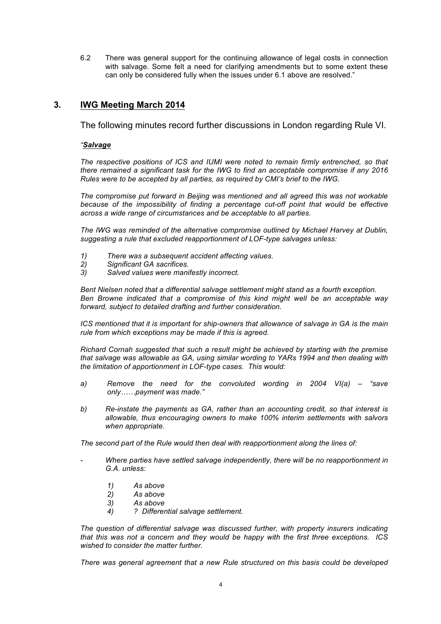6.2 There was general support for the continuing allowance of legal costs in connection with salvage. Some felt a need for clarifying amendments but to some extent these can only be considered fully when the issues under 6.1 above are resolved."

## **3. IWG Meeting March 2014**

The following minutes record further discussions in London regarding Rule VI.

#### *"Salvage*

*The respective positions of ICS and IUMI were noted to remain firmly entrenched, so that there remained a significant task for the IWG to find an acceptable compromise if any 2016 Rules were to be accepted by all parties, as required by CMI's brief to the IWG.*

*The compromise put forward in Beijing was mentioned and all agreed this was not workable*  because of the impossibility of finding a percentage cut-off point that would be effective *across a wide range of circumstances and be acceptable to all parties.*

*The IWG was reminded of the alternative compromise outlined by Michael Harvey at Dublin, suggesting a rule that excluded reapportionment of LOF-type salvages unless:*

- *1) There was a subsequent accident affecting values.*
- *2) Significant GA sacrifices.*
- *3) Salved values were manifestly incorrect.*

*Bent Nielsen noted that a differential salvage settlement might stand as a fourth exception. Ben Browne indicated that a compromise of this kind might well be an acceptable way forward, subject to detailed drafting and further consideration.*

*ICS mentioned that it is important for ship-owners that allowance of salvage in GA is the main rule from which exceptions may be made if this is agreed.*

*Richard Cornah suggested that such a result might be achieved by starting with the premise that salvage was allowable as GA, using similar wording to YARs 1994 and then dealing with the limitation of apportionment in LOF-type cases. This would:*

- *a) Remove the need for the convoluted wording in 2004 VI(a) – "save only……payment was made."*
- *b) Re-instate the payments as GA, rather than an accounting credit, so that interest is allowable, thus encouraging owners to make 100% interim settlements with salvors when appropriate.*

*The second part of the Rule would then deal with reapportionment along the lines of:*

- *Where parties have settled salvage independently, there will be no reapportionment in G.A. unless:*
	- *1) As above*
	- *2) As above*
	- *3) As above*
	- *4) ? Differential salvage settlement.*

*The question of differential salvage was discussed further, with property insurers indicating that this was not a concern and they would be happy with the first three exceptions. ICS wished to consider the matter further.*

*There was general agreement that a new Rule structured on this basis could be developed*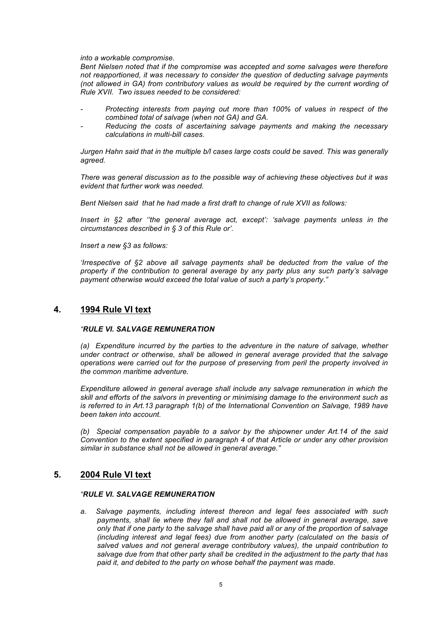*into a workable compromise.*

*Bent Nielsen noted that if the compromise was accepted and some salvages were therefore not reapportioned, it was necessary to consider the question of deducting salvage payments (not allowed in GA) from contributory values as would be required by the current wording of Rule XVII. Two issues needed to be considered:*

- *- Protecting interests from paying out more than 100% of values in respect of the combined total of salvage (when not GA) and GA.*
- *- Reducing the costs of ascertaining salvage payments and making the necessary calculations in multi-bill cases.*

*Jurgen Hahn said that in the multiple b/l cases large costs could be saved. This was generally agreed.*

*There was general discussion as to the possible way of achieving these objectives but it was evident that further work was needed.*

*Bent Nielsen said that he had made a first draft to change of rule XVII as follows:*

*Insert in §2 after ''the general average act, except': 'salvage payments unless in the circumstances described in § 3 of this Rule or'.*

*Insert a new §3 as follows:*

*'Irrespective of §2 above all salvage payments shall be deducted from the value of the property if the contribution to general average by any party plus any such party's salvage payment otherwise would exceed the total value of such a party's property."*

#### **4. 1994 Rule VI text**

#### *"RULE VI. SALVAGE REMUNERATION*

*(a) Expenditure incurred by the parties to the adventure in the nature of salvage, whether under contract or otherwise, shall be allowed in general average provided that the salvage operations were carried out for the purpose of preserving from peril the property involved in the common maritime adventure.*

*Expenditure allowed in general average shall include any salvage remuneration in which the skill and efforts of the salvors in preventing or minimising damage to the environment such as is referred to in Art.13 paragraph 1(b) of the International Convention on Salvage, 1989 have been taken into account.*

*(b) Special compensation payable to a salvor by the shipowner under Art.14 of the said Convention to the extent specified in paragraph 4 of that Article or under any other provision similar in substance shall not be allowed in general average."*

#### **5. 2004 Rule VI text**

#### *"RULE VI. SALVAGE REMUNERATION*

*a. Salvage payments, including interest thereon and legal fees associated with such payments, shall lie where they fall and shall not be allowed in general average, save only that if one party to the salvage shall have paid all or any of the proportion of salvage (including interest and legal fees) due from another party (calculated on the basis of salved values and not general average contributory values), the unpaid contribution to salvage due from that other party shall be credited in the adjustment to the party that has paid it, and debited to the party on whose behalf the payment was made.*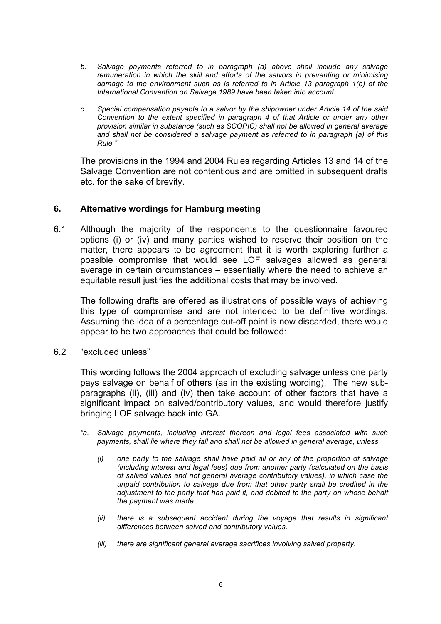- *b. Salvage payments referred to in paragraph (a) above shall include any salvage remuneration in which the skill and efforts of the salvors in preventing or minimising damage to the environment such as is referred to in Article 13 paragraph 1(b) of the International Convention on Salvage 1989 have been taken into account.*
- *c. Special compensation payable to a salvor by the shipowner under Article 14 of the said Convention to the extent specified in paragraph 4 of that Article or under any other provision similar in substance (such as SCOPIC) shall not be allowed in general average and shall not be considered a salvage payment as referred to in paragraph (a) of this Rule."*

The provisions in the 1994 and 2004 Rules regarding Articles 13 and 14 of the Salvage Convention are not contentious and are omitted in subsequent drafts etc. for the sake of brevity.

## **6. Alternative wordings for Hamburg meeting**

6.1 Although the majority of the respondents to the questionnaire favoured options (i) or (iv) and many parties wished to reserve their position on the matter, there appears to be agreement that it is worth exploring further a possible compromise that would see LOF salvages allowed as general average in certain circumstances – essentially where the need to achieve an equitable result justifies the additional costs that may be involved.

The following drafts are offered as illustrations of possible ways of achieving this type of compromise and are not intended to be definitive wordings. Assuming the idea of a percentage cut-off point is now discarded, there would appear to be two approaches that could be followed:

6.2 "excluded unless"

This wording follows the 2004 approach of excluding salvage unless one party pays salvage on behalf of others (as in the existing wording). The new subparagraphs (ii), (iii) and (iv) then take account of other factors that have a significant impact on salved/contributory values, and would therefore justify bringing LOF salvage back into GA.

- *"a. Salvage payments, including interest thereon and legal fees associated with such payments, shall lie where they fall and shall not be allowed in general average, unless*
	- *(i) one party to the salvage shall have paid all or any of the proportion of salvage (including interest and legal fees) due from another party (calculated on the basis of salved values and not general average contributory values), in which case the unpaid contribution to salvage due from that other party shall be credited in the adjustment to the party that has paid it, and debited to the party on whose behalf the payment was made.*
	- *(ii) there is a subsequent accident during the voyage that results in significant differences between salved and contributory values.*
	- *(iii) there are significant general average sacrifices involving salved property.*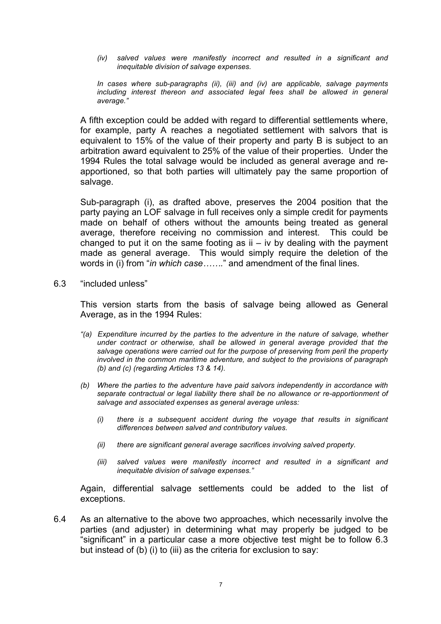*(iv) salved values were manifestly incorrect and resulted in a significant and inequitable division of salvage expenses.*

*In cases where sub-paragraphs (ii), (iii) and (iv) are applicable, salvage payments including interest thereon and associated legal fees shall be allowed in general average."*

A fifth exception could be added with regard to differential settlements where, for example, party A reaches a negotiated settlement with salvors that is equivalent to 15% of the value of their property and party B is subject to an arbitration award equivalent to 25% of the value of their properties. Under the 1994 Rules the total salvage would be included as general average and reapportioned, so that both parties will ultimately pay the same proportion of salvage.

Sub-paragraph (i), as drafted above, preserves the 2004 position that the party paying an LOF salvage in full receives only a simple credit for payments made on behalf of others without the amounts being treated as general average, therefore receiving no commission and interest. This could be changed to put it on the same footing as  $ii - iv$  by dealing with the payment made as general average. This would simply require the deletion of the words in (i) from "*in which case…….*" and amendment of the final lines.

6.3 "included unless"

This version starts from the basis of salvage being allowed as General Average, as in the 1994 Rules:

- *"(a) Expenditure incurred by the parties to the adventure in the nature of salvage, whether under contract or otherwise, shall be allowed in general average provided that the salvage operations were carried out for the purpose of preserving from peril the property involved in the common maritime adventure, and subject to the provisions of paragraph (b) and (c) (regarding Articles 13 & 14).*
- *(b) Where the parties to the adventure have paid salvors independently in accordance with separate contractual or legal liability there shall be no allowance or re-apportionment of salvage and associated expenses as general average unless:*
	- *(i) there is a subsequent accident during the voyage that results in significant differences between salved and contributory values.*
	- *(ii) there are significant general average sacrifices involving salved property.*
	- *(iii) salved values were manifestly incorrect and resulted in a significant and inequitable division of salvage expenses."*

Again, differential salvage settlements could be added to the list of exceptions.

6.4 As an alternative to the above two approaches, which necessarily involve the parties (and adjuster) in determining what may properly be judged to be "significant" in a particular case a more objective test might be to follow 6.3 but instead of (b) (i) to (iii) as the criteria for exclusion to say: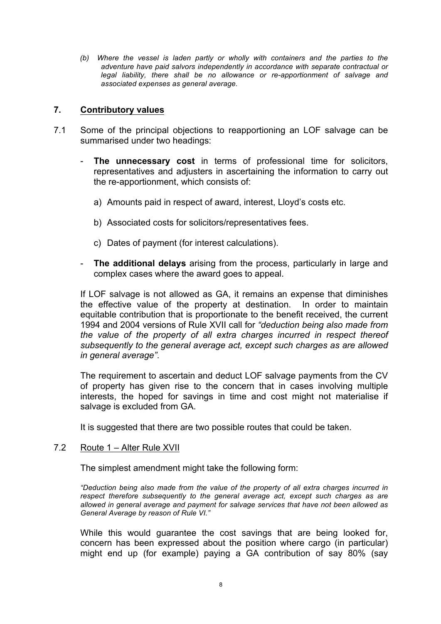*(b) Where the vessel is laden partly or wholly with containers and the parties to the adventure have paid salvors independently in accordance with separate contractual or legal liability, there shall be no allowance or re-apportionment of salvage and associated expenses as general average.*

## **7. Contributory values**

- 7.1 Some of the principal objections to reapportioning an LOF salvage can be summarised under two headings:
	- **The unnecessary cost** in terms of professional time for solicitors, representatives and adjusters in ascertaining the information to carry out the re-apportionment, which consists of:
		- a) Amounts paid in respect of award, interest, Lloyd's costs etc.
		- b) Associated costs for solicitors/representatives fees.
		- c) Dates of payment (for interest calculations).
	- **The additional delays** arising from the process, particularly in large and complex cases where the award goes to appeal.

If LOF salvage is not allowed as GA, it remains an expense that diminishes the effective value of the property at destination. In order to maintain equitable contribution that is proportionate to the benefit received, the current 1994 and 2004 versions of Rule XVII call for *"deduction being also made from the value of the property of all extra charges incurred in respect thereof subsequently to the general average act, except such charges as are allowed in general average"*.

The requirement to ascertain and deduct LOF salvage payments from the CV of property has given rise to the concern that in cases involving multiple interests, the hoped for savings in time and cost might not materialise if salvage is excluded from GA.

It is suggested that there are two possible routes that could be taken.

## 7.2 Route 1 – Alter Rule XVII

The simplest amendment might take the following form:

*"Deduction being also made from the value of the property of all extra charges incurred in respect therefore subsequently to the general average act, except such charges as are allowed in general average and payment for salvage services that have not been allowed as General Average by reason of Rule VI."*

While this would guarantee the cost savings that are being looked for, concern has been expressed about the position where cargo (in particular) might end up (for example) paying a GA contribution of say 80% (say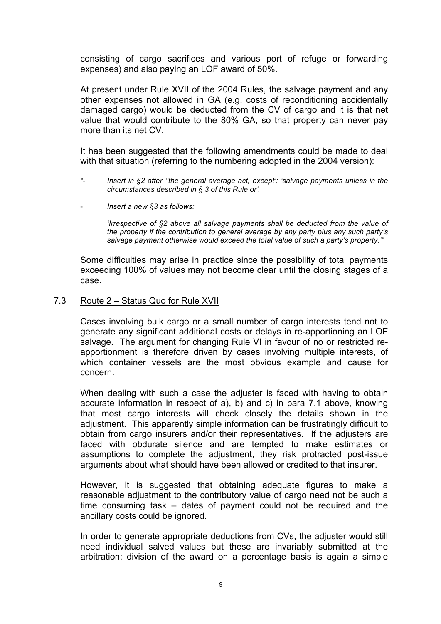consisting of cargo sacrifices and various port of refuge or forwarding expenses) and also paying an LOF award of 50%.

At present under Rule XVII of the 2004 Rules, the salvage payment and any other expenses not allowed in GA (e.g. costs of reconditioning accidentally damaged cargo) would be deducted from the CV of cargo and it is that net value that would contribute to the 80% GA, so that property can never pay more than its net CV.

It has been suggested that the following amendments could be made to deal with that situation (referring to the numbering adopted in the 2004 version):

- *"- Insert in §2 after ''the general average act, except': 'salvage payments unless in the circumstances described in § 3 of this Rule or'.*
- *Insert a new §3 as follows:*

*'Irrespective of §2 above all salvage payments shall be deducted from the value of the property if the contribution to general average by any party plus any such party's salvage payment otherwise would exceed the total value of such a party's property.'"*

Some difficulties may arise in practice since the possibility of total payments exceeding 100% of values may not become clear until the closing stages of a case.

7.3 Route 2 – Status Quo for Rule XVII

Cases involving bulk cargo or a small number of cargo interests tend not to generate any significant additional costs or delays in re-apportioning an LOF salvage. The argument for changing Rule VI in favour of no or restricted reapportionment is therefore driven by cases involving multiple interests, of which container vessels are the most obvious example and cause for concern.

When dealing with such a case the adjuster is faced with having to obtain accurate information in respect of a), b) and c) in para 7.1 above, knowing that most cargo interests will check closely the details shown in the adjustment. This apparently simple information can be frustratingly difficult to obtain from cargo insurers and/or their representatives. If the adjusters are faced with obdurate silence and are tempted to make estimates or assumptions to complete the adjustment, they risk protracted post-issue arguments about what should have been allowed or credited to that insurer.

However, it is suggested that obtaining adequate figures to make a reasonable adjustment to the contributory value of cargo need not be such a time consuming task – dates of payment could not be required and the ancillary costs could be ignored.

In order to generate appropriate deductions from CVs, the adjuster would still need individual salved values but these are invariably submitted at the arbitration; division of the award on a percentage basis is again a simple